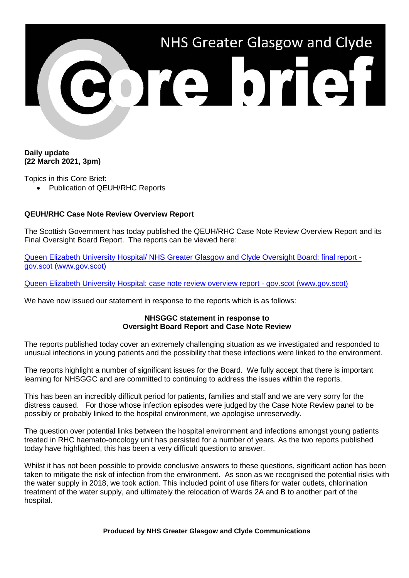

## **Daily update (22 March 2021, 3pm)**

Topics in this Core Brief:

• Publication of QEUH/RHC Reports

## **QEUH/RHC Case Note Review Overview Report**

The Scottish Government has today published the QEUH/RHC Case Note Review Overview Report and its Final Oversight Board Report. The reports can be viewed here:

[Queen Elizabeth University Hospital/ NHS Greater Glasgow and Clyde Oversight Board: final report](https://www.gov.scot/publications/queen-elizabeth-university-hospital-nhs-greater-glasgow-clyde-oversight-board-final-report/)  [gov.scot \(www.gov.scot\)](https://www.gov.scot/publications/queen-elizabeth-university-hospital-nhs-greater-glasgow-clyde-oversight-board-final-report/)

[Queen Elizabeth University Hospital: case note review overview report -](https://www.gov.scot/publications/queen-elizabeth-university-hospital-case-note-review-overview-report/) gov.scot (www.gov.scot)

We have now issued our statement in response to the reports which is as follows:

## **NHSGGC statement in response to Oversight Board Report and Case Note Review**

The reports published today cover an extremely challenging situation as we investigated and responded to unusual infections in young patients and the possibility that these infections were linked to the environment.

The reports highlight a number of significant issues for the Board. We fully accept that there is important learning for NHSGGC and are committed to continuing to address the issues within the reports.

This has been an incredibly difficult period for patients, families and staff and we are very sorry for the distress caused. For those whose infection episodes were judged by the Case Note Review panel to be possibly or probably linked to the hospital environment, we apologise unreservedly.

The question over potential links between the hospital environment and infections amongst young patients treated in RHC haemato-oncology unit has persisted for a number of years. As the two reports published today have highlighted, this has been a very difficult question to answer.

Whilst it has not been possible to provide conclusive answers to these questions, significant action has been taken to mitigate the risk of infection from the environment. As soon as we recognised the potential risks with the water supply in 2018, we took action. This included point of use filters for water outlets, chlorination treatment of the water supply, and ultimately the relocation of Wards 2A and B to another part of the hospital.

**Produced by NHS Greater Glasgow and Clyde Communications**